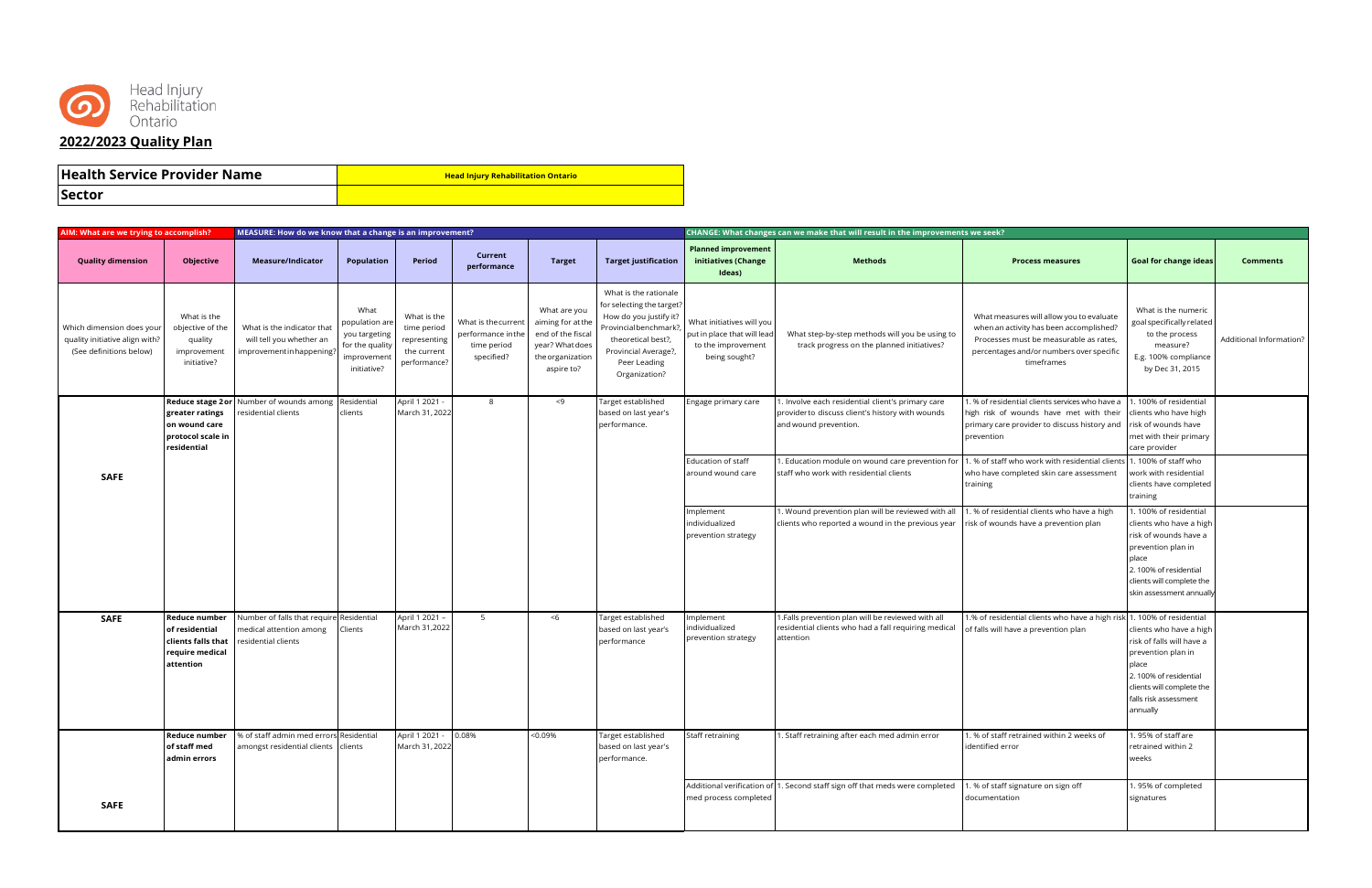

## **Health Service Provider Name Head Injury Rehabilitation Ontario**

**Sector**

| AIM: What are we trying to accomplish?                                                 |                                                                                              | MEASURE: How do we know that a change is an improvement?                                   |                                                                                         |                                                                           |                                                                       |                                                                                                             |                                                                                                                                                                                       |                                                                                                 | CHANGE: What changes can we make that will result in the improvements we seek?                                                                                   |                                                                                                                                                                                         |                                                                                                                                                                                            |                         |
|----------------------------------------------------------------------------------------|----------------------------------------------------------------------------------------------|--------------------------------------------------------------------------------------------|-----------------------------------------------------------------------------------------|---------------------------------------------------------------------------|-----------------------------------------------------------------------|-------------------------------------------------------------------------------------------------------------|---------------------------------------------------------------------------------------------------------------------------------------------------------------------------------------|-------------------------------------------------------------------------------------------------|------------------------------------------------------------------------------------------------------------------------------------------------------------------|-----------------------------------------------------------------------------------------------------------------------------------------------------------------------------------------|--------------------------------------------------------------------------------------------------------------------------------------------------------------------------------------------|-------------------------|
| <b>Quality dimension</b>                                                               | Objective                                                                                    | Measure/Indicator                                                                          | <b>Population</b>                                                                       | Period                                                                    | Current<br>performance                                                | <b>Target</b>                                                                                               | <b>Target justification</b>                                                                                                                                                           | <b>Planned improvement</b><br>initiatives (Change<br>Ideas)                                     | <b>Methods</b>                                                                                                                                                   | <b>Process measures</b>                                                                                                                                                                 | <b>Goal for change ideas</b>                                                                                                                                                               | <b>Comments</b>         |
| Which dimension does your<br>quality initiative align with?<br>(See definitions below) | What is the<br>objective of the<br>quality<br>improvement<br>initiative?                     | What is the indicator tha<br>will tell you whether an<br>mprovement in happening?          | What<br>population are<br>you targeting<br>for the quality<br>improvemen<br>initiative? | What is the<br>time period<br>representing<br>the current<br>performance? | What is the current<br>performance inthe<br>time period<br>specified? | What are you<br>aiming for at the<br>end of the fiscal<br>year? What does<br>the organization<br>aspire to? | What is the rationale<br>for selecting the target?<br>How do you justify it?<br>Provincial benchmark?,<br>theoretical best?,<br>Provincial Average?,<br>Peer Leading<br>Organization? | What initiatives will you<br>put in place that will lead<br>to the improvement<br>being sought? | What step-by-step methods will you be using to<br>track progress on the planned initiatives?                                                                     | What measures will allow you to evaluate<br>when an activity has been accomplished?<br>Processes must be measurable as rates,<br>percentages and/or numbers over specific<br>timeframes | What is the numeric<br>goal specifically related<br>to the process<br>measure?<br>E.g. 100% compliance<br>by Dec 31, 2015                                                                  | Additional Information? |
|                                                                                        | greater ratings<br>on wound care<br>protocol scale in<br>residential                         | <b>Reduce stage 2 or Number of wounds among Residential</b><br>esidential clients          | clients                                                                                 | April 1 2021 -<br>March 31, 2022                                          | 8                                                                     | $<$ 9                                                                                                       | Target established<br>based on last year's<br>performance.                                                                                                                            | Engage primary care                                                                             | 1. Involve each residential client's primary care<br>provider to discuss client's history with wounds<br>and wound prevention.                                   | 1. % of residential clients services who have a<br>high risk of wounds have met with their<br>primary care provider to discuss history and<br>prevention                                | . 100% of residential<br>clients who have high<br>risk of wounds have<br>met with their primary<br>care provider                                                                           |                         |
| <b>SAFE</b>                                                                            |                                                                                              |                                                                                            |                                                                                         |                                                                           |                                                                       |                                                                                                             |                                                                                                                                                                                       | Education of staff<br>around wound care                                                         | 1. Education module on wound care prevention for 1. % of staff who work with residential clients 1. 100% of staff who<br>staff who work with residential clients | who have completed skin care assessment<br>training                                                                                                                                     | work with residential<br>clients have completed<br>training                                                                                                                                |                         |
|                                                                                        |                                                                                              |                                                                                            |                                                                                         |                                                                           |                                                                       |                                                                                                             |                                                                                                                                                                                       | Implement<br>individualized<br>prevention strategy                                              | 1. Wound prevention plan will be reviewed with all<br>clients who reported a wound in the previous year                                                          | 1. % of residential clients who have a high<br>risk of wounds have a prevention plan                                                                                                    | . 100% of residential<br>clients who have a high<br>risk of wounds have a<br>prevention plan in<br>place<br>2.100% of residential<br>clients will complete the<br>skin assessment annually |                         |
| <b>SAFE</b>                                                                            | <b>Reduce number</b><br>of residential<br>clients falls that<br>require medical<br>attention | Number of falls that require Residential<br>medical attention among<br>residential clients | Clients                                                                                 | April 1 2021 -<br>March 31,2022                                           | 5                                                                     | < 6                                                                                                         | Target established<br>based on last year's<br>performance                                                                                                                             | Implement<br>individualized<br>prevention strategy                                              | 1.Falls prevention plan will be reviewed with all<br>residential clients who had a fall requiring medical<br>attention                                           | 1.% of residential clients who have a high risk 1.100% of residential<br>of falls will have a prevention plan                                                                           | clients who have a high<br>risk of falls will have a<br>prevention plan in<br>place<br>2.100% of residential<br>clients will complete the<br>falls risk assessment<br>annually             |                         |
|                                                                                        | <b>Reduce number</b><br>of staff med<br>admin errors                                         | % of staff admin med errors Residential<br>amongst residential clients clients             |                                                                                         | April 1 2021 -<br>March 31, 2022                                          | 0.08%                                                                 | < 0.09%                                                                                                     | Target established<br>based on last year's<br>performance.                                                                                                                            | Staff retraining                                                                                | 1. Staff retraining after each med admin error                                                                                                                   | 1. % of staff retrained within 2 weeks of<br>identified error                                                                                                                           | 1.95% of staff are<br>retrained within 2<br>weeks                                                                                                                                          |                         |
| <b>SAFE</b>                                                                            |                                                                                              |                                                                                            |                                                                                         |                                                                           |                                                                       |                                                                                                             |                                                                                                                                                                                       | med process completed                                                                           | Additional verification of 1. Second staff sign off that meds were completed                                                                                     | 1. % of staff signature on sign off<br>documentation                                                                                                                                    | .95% of completed<br>signatures                                                                                                                                                            |                         |